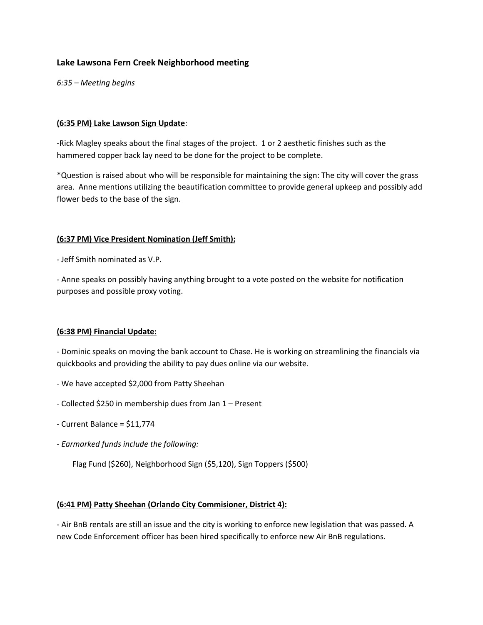# **Lake Lawsona Fern Creek Neighborhood meeting**

*6:35 – Meeting begins*

#### **(6:35 PM) Lake Lawson Sign Update**:

-Rick Magley speaks about the final stages of the project. 1 or 2 aesthetic finishes such as the hammered copper back lay need to be done for the project to be complete.

\*Question is raised about who will be responsible for maintaining the sign: The city will cover the grass area. Anne mentions utilizing the beautification committee to provide general upkeep and possibly add flower beds to the base of the sign.

#### **(6:37 PM) Vice President Nomination (Jeff Smith):**

- Jeff Smith nominated as V.P.

- Anne speaks on possibly having anything brought to a vote posted on the website for notification purposes and possible proxy voting.

## **(6:38 PM) Financial Update:**

- Dominic speaks on moving the bank account to Chase. He is working on streamlining the financials via quickbooks and providing the ability to pay dues online via our website.

- We have accepted \$2,000 from Patty Sheehan
- Collected \$250 in membership dues from Jan 1 Present
- Current Balance = \$11,774
- *- Earmarked funds include the following:*

Flag Fund (\$260), Neighborhood Sign (\$5,120), Sign Toppers (\$500)

## **(6:41 PM) Patty Sheehan (Orlando City Commisioner, District 4):**

- Air BnB rentals are still an issue and the city is working to enforce new legislation that was passed. A new Code Enforcement officer has been hired specifically to enforce new Air BnB regulations.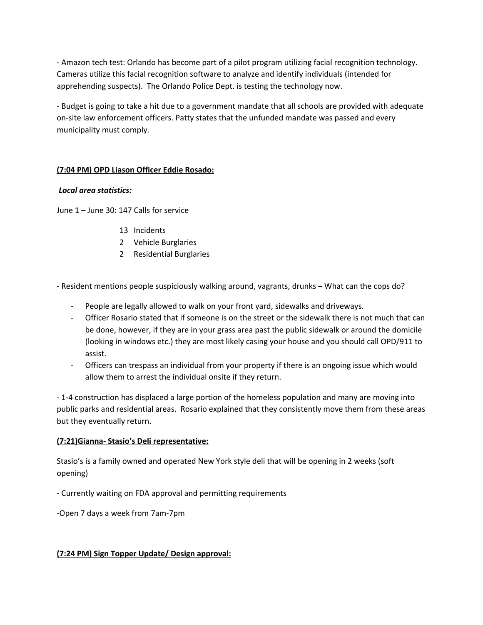- Amazon tech test: Orlando has become part of a pilot program utilizing facial recognition technology. Cameras utilize this facial recognition software to analyze and identify individuals (intended for apprehending suspects). The Orlando Police Dept. is testing the technology now.

- Budget is going to take a hit due to a government mandate that all schools are provided with adequate on-site law enforcement officers. Patty states that the unfunded mandate was passed and every municipality must comply.

# **(7:04 PM) OPD Liason Officer Eddie Rosado:**

## *Local area statistics:*

June 1 – June 30: 147 Calls for service

- 13 Incidents
- 2 Vehicle Burglaries
- 2 Residential Burglaries

- Resident mentions people suspiciously walking around, vagrants, drunks – What can the cops do?

- People are legally allowed to walk on your front yard, sidewalks and driveways.
- Officer Rosario stated that if someone is on the street or the sidewalk there is not much that can be done, however, if they are in your grass area past the public sidewalk or around the domicile (looking in windows etc.) they are most likely casing your house and you should call OPD/911 to assist.
- Officers can trespass an individual from your property if there is an ongoing issue which would allow them to arrest the individual onsite if they return.

- 1-4 construction has displaced a large portion of the homeless population and many are moving into public parks and residential areas. Rosario explained that they consistently move them from these areas but they eventually return.

## **(7:21)Gianna- Stasio's Deli representative:**

Stasio's is a family owned and operated New York style deli that will be opening in 2 weeks (soft opening)

- Currently waiting on FDA approval and permitting requirements

-Open 7 days a week from 7am-7pm

## **(7:24 PM) Sign Topper Update/ Design approval:**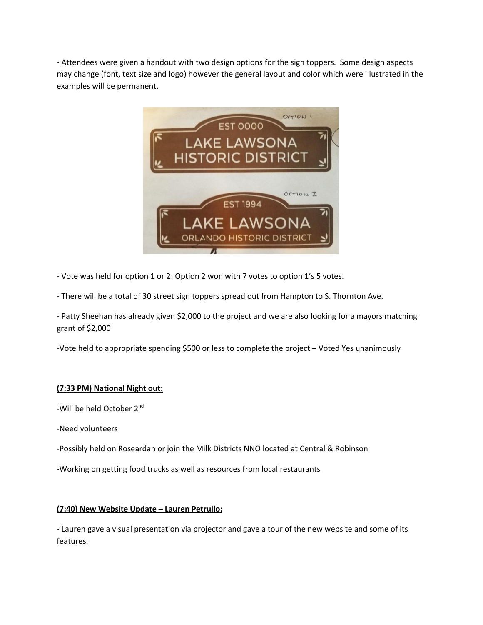- Attendees were given a handout with two design options for the sign toppers. Some design aspects may change (font, text size and logo) however the general layout and color which were illustrated in the examples will be permanent.



- Vote was held for option 1 or 2: Option 2 won with 7 votes to option 1's 5 votes.

- There will be a total of 30 street sign toppers spread out from Hampton to S. Thornton Ave.

- Patty Sheehan has already given \$2,000 to the project and we are also looking for a mayors matching grant of \$2,000

-Vote held to appropriate spending \$500 or less to complete the project – Voted Yes unanimously

## **(7:33 PM) National Night out:**

-Will be held October 2<sup>nd</sup>

-Need volunteers

-Possibly held on Roseardan or join the Milk Districts NNO located at Central & Robinson

-Working on getting food trucks as well as resources from local restaurants

#### **(7:40) New Website Update – Lauren Petrullo:**

- Lauren gave a visual presentation via projector and gave a tour of the new website and some of its features.